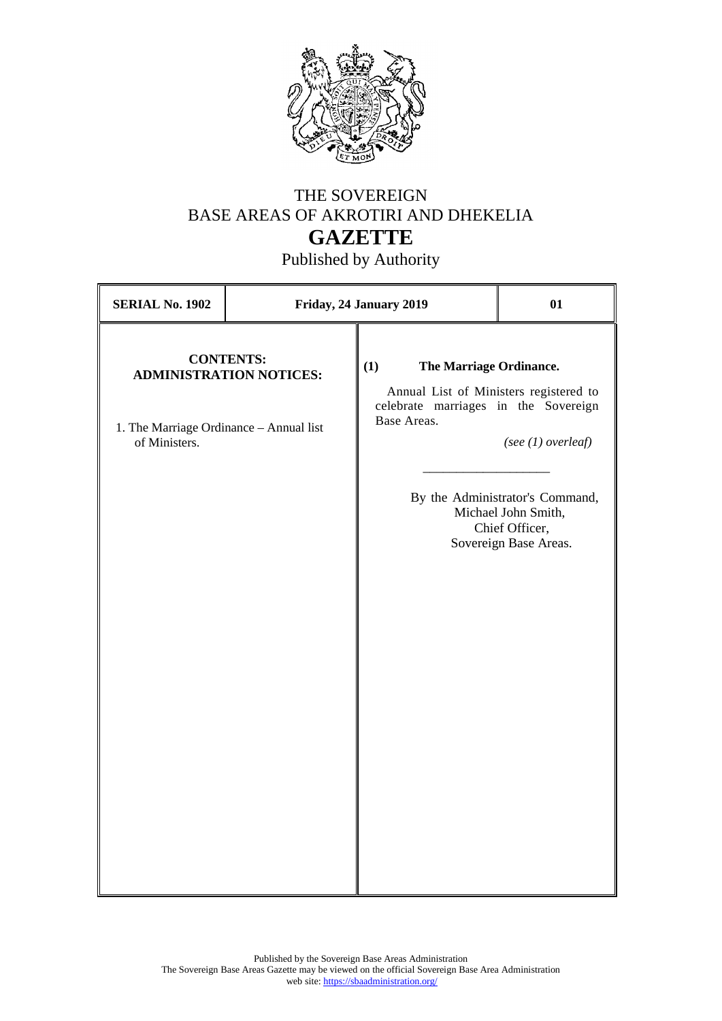

## THE SOVEREIGN BASE AREAS OF AKROTIRI AND DHEKELIA **GAZETTE**

Published by Authority

| <b>SERIAL No. 1902</b>                                   |                                                    | 01                                                                                                                                                         |                                                                                                                           |
|----------------------------------------------------------|----------------------------------------------------|------------------------------------------------------------------------------------------------------------------------------------------------------------|---------------------------------------------------------------------------------------------------------------------------|
| 1. The Marriage Ordinance - Annual list<br>of Ministers. | <b>CONTENTS:</b><br><b>ADMINISTRATION NOTICES:</b> | Friday, 24 January 2019<br>(1)<br>The Marriage Ordinance.<br>Annual List of Ministers registered to<br>celebrate marriages in the Sovereign<br>Base Areas. | (see $(1)$ overleaf)<br>By the Administrator's Command,<br>Michael John Smith,<br>Chief Officer,<br>Sovereign Base Areas. |
|                                                          |                                                    |                                                                                                                                                            |                                                                                                                           |